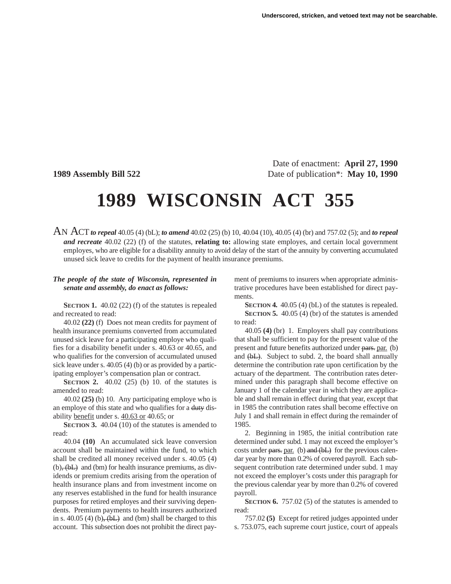Date of enactment: **April 27, 1990 1989 Assembly Bill 522** Date of publication\*: **May 10, 1990**

## **1989 WISCONSIN ACT 355**

AN ACT*to repeal* 40.05 (4) (bL); *to amend* 40.02 (25) (b) 10, 40.04 (10), 40.05 (4) (br) and 757.02 (5); and *to repeal and recreate* 40.02 (22) (f) of the statutes, **relating to:** allowing state employes, and certain local government employes, who are eligible for a disability annuity to avoid delay of the start of the annuity by converting accumulated unused sick leave to credits for the payment of health insurance premiums.

## *The people of the state of Wisconsin, represented in senate and assembly, do enact as follows:*

**SECTION 1.** 40.02 (22) (f) of the statutes is repealed and recreated to read:

40.02 **(22)** (f) Does not mean credits for payment of health insurance premiums converted from accumulated unused sick leave for a participating employe who qualifies for a disability benefit under s. 40.63 or 40.65, and who qualifies for the conversion of accumulated unused sick leave under s. 40.05 (4) (b) or as provided by a participating employer's compensation plan or contract.

**SECTION 2.** 40.02 (25) (b) 10. of the statutes is amended to read:

40.02 **(25)** (b) 10. Any participating employe who is an employe of this state and who qualifies for a duty disability benefit under s. 40.63 or 40.65; or

**SECTION 3.** 40.04 (10) of the statutes is amended to read:

40.04 **(10)** An accumulated sick leave conversion account shall be maintained within the fund, to which shall be credited all money received under s. 40.05 (4)  $(b)$ ,  $(bL)$  and  $(bm)$  for health insurance premiums, as dividends or premium credits arising from the operation of health insurance plans and from investment income on any reserves established in the fund for health insurance purposes for retired employes and their surviving dependents. Premium payments to health insurers authorized in s. 40.05 (4) (b),  $(bL)$  and (bm) shall be charged to this account. This subsection does not prohibit the direct payment of premiums to insurers when appropriate administrative procedures have been established for direct payments.

**SECTION 4.** 40.05 (4) (bL) of the statutes is repealed. **SECTION 5.** 40.05 (4) (br) of the statutes is amended to read:

40.05 **(4)** (br) 1. Employers shall pay contributions that shall be sufficient to pay for the present value of the present and future benefits authorized under pars. par. (b) and (bL). Subject to subd. 2, the board shall annually determine the contribution rate upon certification by the actuary of the department. The contribution rates determined under this paragraph shall become effective on January 1 of the calendar year in which they are applicable and shall remain in effect during that year, except that in 1985 the contribution rates shall become effective on July 1 and shall remain in effect during the remainder of 1985.

2. Beginning in 1985, the initial contribution rate determined under subd. 1 may not exceed the employer's costs under pars. par. (b) and  $(bL)$  for the previous calendar year by more than 0.2% of covered payroll. Each subsequent contribution rate determined under subd. 1 may not exceed the employer's costs under this paragraph for the previous calendar year by more than 0.2% of covered payroll.

**SECTION 6.** 757.02 (5) of the statutes is amended to read:

757.02 **(5)** Except for retired judges appointed under s. 753.075, each supreme court justice, court of appeals